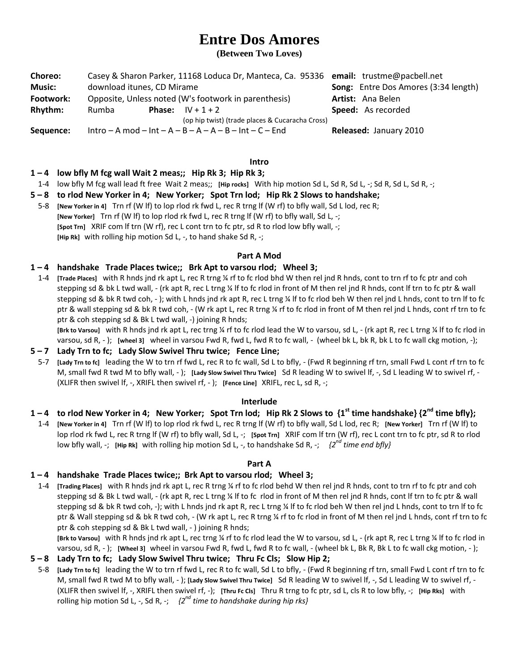# **Entre Dos Amores**

**(Between Two Loves)**

| <b>Choreo:</b> | Casey & Sharon Parker, 11168 Loduca Dr, Manteca, Ca. 95336 email: trustme@pacbell.net |                                                       |                                             |
|----------------|---------------------------------------------------------------------------------------|-------------------------------------------------------|---------------------------------------------|
| <b>Music:</b>  | download itunes, CD Mirame                                                            |                                                       | <b>Song:</b> Entre Dos Amores (3:34 length) |
| Footwork:      | Opposite, Unless noted (W's footwork in parenthesis)                                  |                                                       | <b>Artist:</b> Ana Belen                    |
| Rhythm:        | Rumba                                                                                 | <b>Phase:</b> $IV + 1 + 2$                            | Speed: As recorded                          |
|                |                                                                                       | (op hip twist) (trade places & Cucaracha Cross)       |                                             |
| Sequence:      |                                                                                       | $Intro - A mod - Int - A - B - A - B - Int - C - End$ | Released: January 2010                      |

**Intro**

## **1 – 4 low bfly M fcg wall Wait 2 meas;; Hip Rk 3; Hip Rk 3;**

1-4 low bfly M fcg wall lead ft free Wait 2 meas;; **[Hip rocks]** With hip motion Sd L, Sd R, Sd L, -; Sd R, Sd L, Sd R, -;

## **5 – 8 to rlod New Yorker in 4; New Yorker; Spot Trn lod; Hip Rk 2 Slows to handshake;**

5-8 **[New Yorker in 4]** Trn rf (W lf) to lop rlod rk fwd L, rec R trng lf (W rf) to bfly wall, Sd L lod, rec R; **[New Yorker]** Trn rf (W lf) to lop rlod rk fwd L, rec R trng lf (W rf) to bfly wall, Sd L, -; **[Spot Trn]** XRIF com lf trn (W rf), rec L cont trn to fc ptr, sd R to rlod low bfly wall, -; **[Hip Rk]** with rolling hip motion Sd L, -, to hand shake Sd R, -;

### **Part A Mod**

## **1 – 4 handshake Trade Places twice;; Brk Apt to varsou rlod; Wheel 3;**

1-4 **[Trade Places]** with R hnds jnd rk apt L, rec R trng ¼ rf to fc rlod bhd W then rel jnd R hnds, cont to trn rf to fc ptr and coh stepping sd & bk L twd wall, - (rk apt R, rec L trng ¼ lf to fc rlod in front of M then rel jnd R hnds, cont lf trn to fc ptr & wall stepping sd & bk R twd coh, - ); with L hnds jnd rk apt R, rec L trng ¼ lf to fc rlod beh W then rel jnd L hnds, cont to trn lf to fc ptr & wall stepping sd & bk R twd coh, - (W rk apt L, rec R trng ¼ rf to fc rlod in front of M then rel jnd L hnds, cont rf trn to fc ptr & coh stepping sd & Bk L twd wall, -) joining R hnds;

**[Brk to Varsou]** with R hnds jnd rk apt L, rec trng ¼ rf to fc rlod lead the W to varsou, sd L, - (rk apt R, rec L trng ¼ lf to fc rlod in varsou, sd R, - ); **[wheel 3]** wheel in varsou Fwd R, fwd L, fwd R to fc wall, - (wheel bk L, bk R, bk L to fc wall ckg motion, -);

#### **5 – 7 Lady Trn to fc; Lady Slow Swivel Thru twice; Fence Line;**

5-7 **[Lady Trn to fc]** leading the W to trn rf fwd L, rec R to fc wall, Sd L to bfly, - (Fwd R beginning rf trn, small Fwd L cont rf trn to fc M, small fwd R twd M to bfly wall, - ); **[Lady Slow Swivel Thru Twice]** Sd R leading W to swivel lf, -, Sd L leading W to swivel rf, - (XLIFR then swivel lf, -, XRIFL then swivel rf, - ); **[Fence Line]** XRIFL, rec L, sd R, -;

#### **Interlude**

## **1 – 4 to rlod New Yorker in 4; New Yorker; Spot Trn lod; Hip Rk 2 Slows to {1st time handshake} {2nd time bfly};**

1-4 **[New Yorker in 4]** Trn rf (W lf) to lop rlod rk fwd L, rec R trng lf (W rf) to bfly wall, Sd L lod, rec R; **[New Yorker]** Trn rf (W lf) to lop rlod rk fwd L, rec R trng lf (W rf) to bfly wall, Sd L, -; **[Spot Trn]** XRIF com lf trn (W rf), rec L cont trn to fc ptr, sd R to rlod low bfly wall, -; **[Hip Rk]** with rolling hip motion Sd L, -, to handshake Sd R, -; *{2 nd time end bfly}*

#### **Part A**

## **1 – 4 handshake Trade Places twice;; Brk Apt to varsou rlod; Wheel 3;**

1-4 **[Trading Places]** with R hnds jnd rk apt L, rec R trng ¼ rf to fc rlod behd W then rel jnd R hnds, cont to trn rf to fc ptr and coh stepping sd & Bk L twd wall, - (rk apt R, rec L trng ¼ lf to fc rlod in front of M then rel jnd R hnds, cont lf trn to fc ptr & wall stepping sd & bk R twd coh, -); with L hnds jnd rk apt R, rec L trng ¼ lf to fc rlod beh W then rel jnd L hnds, cont to trn lf to fc ptr & Wall stepping sd & bk R twd coh, - (W rk apt L, rec R trng ¼ rf to fc rlod in front of M then rel jnd L hnds, cont rf trn to fc ptr & coh stepping sd & Bk L twd wall, - ) joining R hnds;

**[Brk to Varsou]** with R hnds jnd rk apt L, rec trng ¼ rf to fc rlod lead the W to varsou, sd L, - (rk apt R, rec L trng ¼ lf to fc rlod in varsou, sd R, - ); **[Wheel 3]** wheel in varsou Fwd R, fwd L, fwd R to fc wall, - (wheel bk L, Bk R, Bk L to fc wall ckg motion, - );

## **5 – 8 Lady Trn to fc; Lady Slow Swivel Thru twice; Thru Fc Cls; Slow Hip 2;**

5-8 **[Lady Trn to fc]** leading the W to trn rf fwd L, rec R to fc wall, Sd L to bfly, - (Fwd R beginning rf trn, small Fwd L cont rf trn to fc M, small fwd R twd M to bfly wall, - ); **[Lady Slow Swivel Thru Twice]** Sd R leading W to swivel lf, -, Sd L leading W to swivel rf, - (XLIFR then swivel lf, -, XRIFL then swivel rf, -); **[Thru Fc Cls]** Thru R trng to fc ptr, sd L, cls R to low bfly, -; **[Hip Rks]** with rolling hip motion Sd L, -, Sd R, -; *{2nd time to handshake during hip rks}*